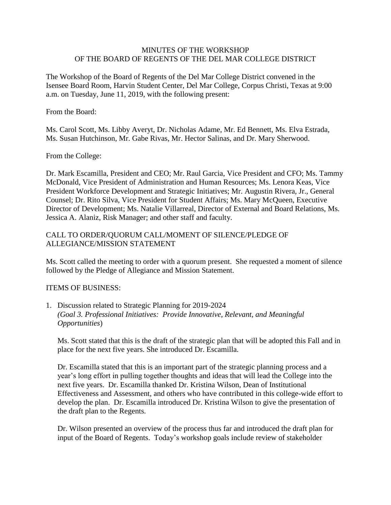## MINUTES OF THE WORKSHOP OF THE BOARD OF REGENTS OF THE DEL MAR COLLEGE DISTRICT

The Workshop of the Board of Regents of the Del Mar College District convened in the Isensee Board Room, Harvin Student Center, Del Mar College, Corpus Christi, Texas at 9:00 a.m. on Tuesday, June 11, 2019, with the following present:

From the Board:

Ms. Carol Scott, Ms. Libby Averyt, Dr. Nicholas Adame, Mr. Ed Bennett, Ms. Elva Estrada, Ms. Susan Hutchinson, Mr. Gabe Rivas, Mr. Hector Salinas, and Dr. Mary Sherwood.

## From the College:

Dr. Mark Escamilla, President and CEO; Mr. Raul Garcia, Vice President and CFO; Ms. Tammy McDonald, Vice President of Administration and Human Resources; Ms. Lenora Keas, Vice President Workforce Development and Strategic Initiatives; Mr. Augustin Rivera, Jr., General Counsel; Dr. Rito Silva, Vice President for Student Affairs; Ms. Mary McQueen, Executive Director of Development; Ms. Natalie Villarreal, Director of External and Board Relations, Ms. Jessica A. Alaniz, Risk Manager; and other staff and faculty.

## CALL TO ORDER/QUORUM CALL/MOMENT OF SILENCE/PLEDGE OF ALLEGIANCE/MISSION STATEMENT

Ms. Scott called the meeting to order with a quorum present. She requested a moment of silence followed by the Pledge of Allegiance and Mission Statement.

## ITEMS OF BUSINESS:

1. Discussion related to Strategic Planning for 2019-2024 *(Goal 3. Professional Initiatives: Provide Innovative, Relevant, and Meaningful Opportunities*)

Ms. Scott stated that this is the draft of the strategic plan that will be adopted this Fall and in place for the next five years. She introduced Dr. Escamilla.

Dr. Escamilla stated that this is an important part of the strategic planning process and a year's long effort in pulling together thoughts and ideas that will lead the College into the next five years. Dr. Escamilla thanked Dr. Kristina Wilson, Dean of Institutional Effectiveness and Assessment, and others who have contributed in this college-wide effort to develop the plan. Dr. Escamilla introduced Dr. Kristina Wilson to give the presentation of the draft plan to the Regents.

Dr. Wilson presented an overview of the process thus far and introduced the draft plan for input of the Board of Regents. Today's workshop goals include review of stakeholder